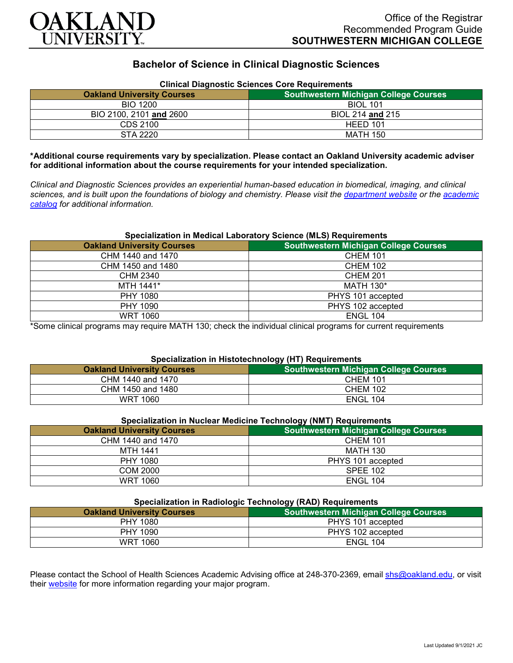

# **Bachelor of Science in Clinical Diagnostic Sciences**

| Clinical Diagnostic Sciences Core Requirements |                                              |
|------------------------------------------------|----------------------------------------------|
| <b>Oakland University Courses</b>              | <b>Southwestern Michigan College Courses</b> |
| <b>BIO 1200</b>                                | <b>BIOL 101</b>                              |
| BIO 2100, 2101 and 2600                        | BIOL 214 and 215                             |
| CDS 2100                                       | HEED 101                                     |
| STA 2220                                       | MATH 150                                     |

### **Clinical Diagnostic Sciences Core Requirements**

**\*Additional course requirements vary by specialization. Please contact an Oakland University academic adviser for additional information about the course requirements for your intended specialization.**

*Clinical and Diagnostic Sciences provides an experiential human-based education in biomedical, imaging, and clinical sciences, and is built upon the foundations of biology and chemistry. Please visit the [department website](https://www.oakland.edu/shs/clinical-and-diagnostic-sciences/) or the [academic](http://catalog.oakland.edu/preview_program.php?catoid=53&poid=8663)  [catalog](http://catalog.oakland.edu/preview_program.php?catoid=53&poid=8663) for additional information.*

### **Specialization in Medical Laboratory Science (MLS) Requirements**

| <b>Oakland University Courses</b> | <b>Southwestern Michigan College Courses</b> |
|-----------------------------------|----------------------------------------------|
| CHM 1440 and 1470                 | <b>CHEM 101</b>                              |
| CHM 1450 and 1480                 | <b>CHEM 102</b>                              |
| CHM 2340                          | <b>CHEM 201</b>                              |
| MTH 1441*                         | <b>MATH 130*</b>                             |
| PHY 1080                          | PHYS 101 accepted                            |
| PHY 1090                          | PHYS 102 accepted                            |
| <b>WRT 1060</b>                   | <b>ENGL 104</b>                              |

\*Some clinical programs may require MATH 130; check the individual clinical programs for current requirements

## **Specialization in Histotechnology (HT) Requirements**

| <b>Oakland University Courses</b> | <b>Southwestern Michigan College Courses</b> |
|-----------------------------------|----------------------------------------------|
| CHM 1440 and 1470                 | <b>CHEM 101</b>                              |
| CHM 1450 and 1480                 | <b>CHEM 102</b>                              |
| <b>WRT 1060</b>                   | <b>ENGL 104</b>                              |

### **Specialization in Nuclear Medicine Technology (NMT) Requirements**

|                                   | .                                            |
|-----------------------------------|----------------------------------------------|
| <b>Oakland University Courses</b> | <b>Southwestern Michigan College Courses</b> |
| CHM 1440 and 1470                 | <b>CHEM 101</b>                              |
| MTH 1441                          | MATH 130                                     |
| PHY 1080                          | PHYS 101 accepted                            |
| COM 2000                          | <b>SPEE 102</b>                              |
| <b>WRT 1060</b>                   | <b>ENGL 104</b>                              |

## **Specialization in Radiologic Technology (RAD) Requirements**

| <b>Providing to the intervention of the company of the condition of the condition of the condition of the condition</b> |                                              |
|-------------------------------------------------------------------------------------------------------------------------|----------------------------------------------|
| <b>Oakland University Courses</b>                                                                                       | <b>Southwestern Michigan College Courses</b> |
| PHY 1080                                                                                                                | PHYS 101 accepted                            |
| PHY 1090                                                                                                                | PHYS 102 accepted                            |
| WRT 1060                                                                                                                | <b>ENGL 104</b>                              |

Please contact the School of Health Sciences Academic Advising office at 248-370-2369, email [shs@oakland.edu,](mailto:shs@oakland.edu) or visit their [website](http://www.oakland.edu/shs/advising) for more information regarding your major program.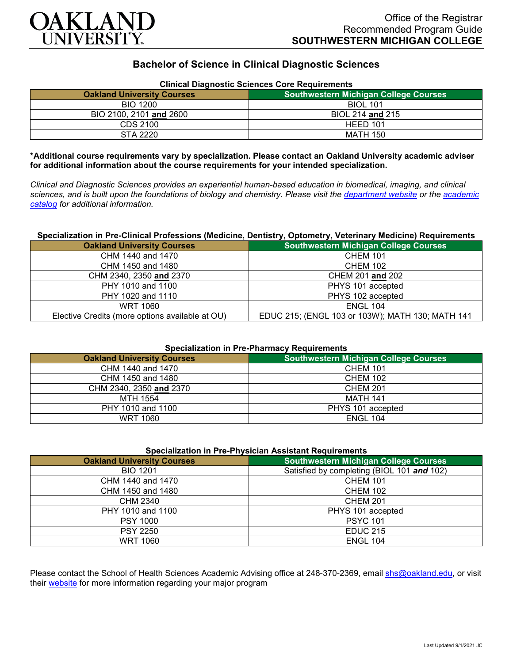

# **Bachelor of Science in Clinical Diagnostic Sciences**

| Clinical Diagnostic Sciences Core Requirements |                                              |
|------------------------------------------------|----------------------------------------------|
| <b>Oakland University Courses</b>              | <b>Southwestern Michigan College Courses</b> |
| <b>BIO 1200</b>                                | <b>BIOL 101</b>                              |
| BIO 2100, 2101 and 2600                        | BIOL 214 and 215                             |
| CDS 2100                                       | HEED 101                                     |
| STA 2220                                       | MATH 150                                     |

# **Clinical Diagnostic Sciences Core Requirements**

**\*Additional course requirements vary by specialization. Please contact an Oakland University academic adviser for additional information about the course requirements for your intended specialization.**

*Clinical and Diagnostic Sciences provides an experiential human-based education in biomedical, imaging, and clinical sciences, and is built upon the foundations of biology and chemistry. Please visit the [department website](https://www.oakland.edu/shs/clinical-and-diagnostic-sciences/) or the [academic](http://catalog.oakland.edu/preview_program.php?catoid=53&poid=8663)  [catalog](http://catalog.oakland.edu/preview_program.php?catoid=53&poid=8663) for additional information.*

### **Specialization in Pre-Clinical Professions (Medicine, Dentistry, Optometry, Veterinary Medicine) Requirements**

| <b>Oakland University Courses</b>               | <b>Southwestern Michigan College Courses</b>     |
|-------------------------------------------------|--------------------------------------------------|
| CHM 1440 and 1470                               | <b>CHEM 101</b>                                  |
| CHM 1450 and 1480                               | <b>CHEM 102</b>                                  |
| CHM 2340, 2350 and 2370                         | CHEM 201 and 202                                 |
| PHY 1010 and 1100                               | PHYS 101 accepted                                |
| PHY 1020 and 1110                               | PHYS 102 accepted                                |
| WRT 1060                                        | <b>ENGL 104</b>                                  |
| Elective Credits (more options available at OU) | EDUC 215; (ENGL 103 or 103W); MATH 130; MATH 141 |

### **Specialization in Pre-Pharmacy Requirements**

| <b>Oakland University Courses</b> | <b>Southwestern Michigan College Courses</b> |
|-----------------------------------|----------------------------------------------|
| CHM 1440 and 1470                 | <b>CHEM 101</b>                              |
| CHM 1450 and 1480                 | <b>CHEM 102</b>                              |
| CHM 2340, 2350 and 2370           | <b>CHEM 201</b>                              |
| MTH 1554                          | MATH 141                                     |
| PHY 1010 and 1100                 | PHYS 101 accepted                            |
| WRT 1060                          | <b>ENGL 104</b>                              |

## **Specialization in Pre-Physician Assistant Requirements**

| <b>Oakland University Courses</b> | <b>Southwestern Michigan College Courses</b> |
|-----------------------------------|----------------------------------------------|
| <b>BIO 1201</b>                   | Satisfied by completing (BIOL 101 and 102)   |
| CHM 1440 and 1470                 | <b>CHEM 101</b>                              |
| CHM 1450 and 1480                 | <b>CHEM 102</b>                              |
| CHM 2340                          | <b>CHEM 201</b>                              |
| PHY 1010 and 1100                 | PHYS 101 accepted                            |
| <b>PSY 1000</b>                   | <b>PSYC 101</b>                              |
| <b>PSY 2250</b>                   | <b>EDUC 215</b>                              |
| <b>WRT 1060</b>                   | <b>ENGL 104</b>                              |

Please contact the School of Health Sciences Academic Advising office at 248-370-2369, email [shs@oakland.edu,](mailto:shs@oakland.edu) or visit their [website](http://www.oakland.edu/shs/advising) for more information regarding your major program